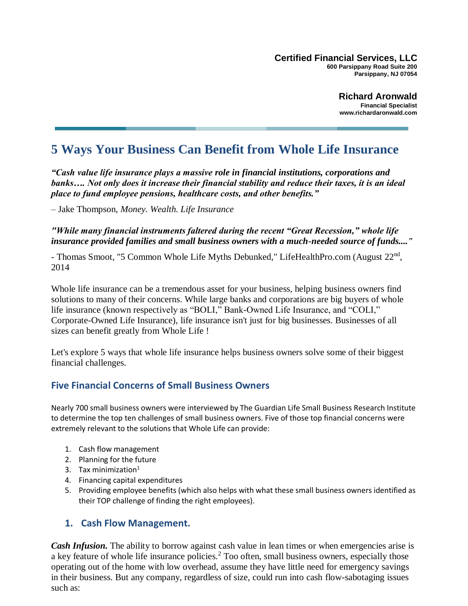**Certified Financial Services, LLC 600 Parsippany Road Suite 200 Parsippany, NJ 07054** 

> **Richard Aronwald Financial Specialist www.richardaronwald.com**

# **5 Ways Your Business Can Benefit from Whole Life Insurance**

*"Cash value life insurance plays a massive role in financial institutions, corporations and banks…. Not only does it increase their financial stability and reduce their taxes, it is an ideal place to fund employee pensions, healthcare costs, and other benefits."*

– Jake Thompson, *Money. Wealth. Life Insurance*

*"While many financial instruments faltered during the recent "Great Recession," whole life insurance provided families and small business owners with a much-needed source of funds...."* 

- Thomas Smoot, "5 Common Whole Life Myths Debunked," LifeHealthPro.com (August 22<sup>nd</sup>, 2014

Whole life insurance can be a tremendous asset for your business, helping business owners find solutions to many of their concerns. While large banks and corporations are big buyers of whole life insurance (known respectively as "BOLI," Bank-Owned Life Insurance, and "COLI," Corporate-Owned Life Insurance), life insurance isn't just for big businesses. Businesses of all sizes can benefit greatly from Whole Life !

Let's explore 5 ways that whole life insurance helps business owners solve some of their biggest financial challenges.

### **Five Financial Concerns of Small Business Owners**

Nearly 700 small business owners were interviewed by The Guardian Life Small Business Research Institute to determine the top ten challenges of small business owners. Five of those top financial concerns were extremely relevant to the solutions that Whole Life can provide:

- 1. Cash flow management
- 2. Planning for the future
- 3. Tax minimization $1$
- 4. Financing capital expenditures
- 5. Providing employee benefits (which also helps with what these small business owners identified as their TOP challenge of finding the right employees).

#### **1. Cash Flow Management.**

*Cash Infusion.* The ability to borrow against cash value in lean times or when emergencies arise is a key feature of whole life insurance policies.<sup>2</sup> Too often, small business owners, especially those operating out of the home with low overhead, assume they have little need for emergency savings in their business. But any company, regardless of size, could run into cash flow-sabotaging issues such as: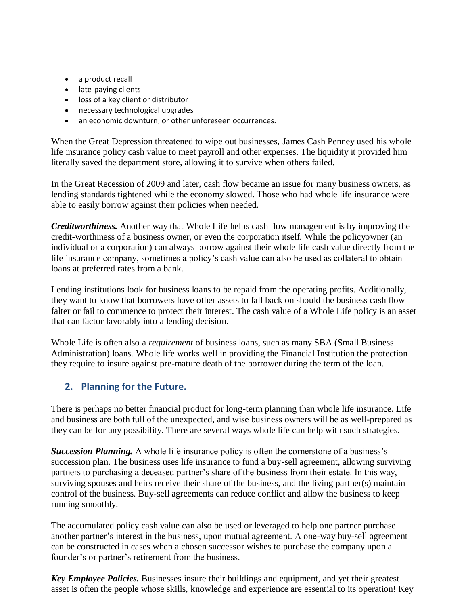- a product recall
- late-paying clients
- loss of a key client or distributor
- necessary technological upgrades
- an economic downturn, or other unforeseen occurrences.

When the Great Depression threatened to wipe out businesses, James Cash Penney used his whole life insurance policy cash value to meet payroll and other expenses. The liquidity it provided him literally saved the department store, allowing it to survive when others failed.

In the Great Recession of 2009 and later, cash flow became an issue for many business owners, as lending standards tightened while the economy slowed. Those who had whole life insurance were able to easily borrow against their policies when needed.

*Creditworthiness.* Another way that Whole Life helps cash flow management is by improving the credit-worthiness of a business owner, or even the corporation itself. While the policyowner (an individual or a corporation) can always borrow against their whole life cash value directly from the life insurance company, sometimes a policy's cash value can also be used as collateral to obtain loans at preferred rates from a bank.

Lending institutions look for business loans to be repaid from the operating profits. Additionally, they want to know that borrowers have other assets to fall back on should the business cash flow falter or fail to commence to protect their interest. The cash value of a Whole Life policy is an asset that can factor favorably into a lending decision.

Whole Life is often also a *requirement* of business loans, such as many SBA (Small Business Administration) loans. Whole life works well in providing the Financial Institution the protection they require to insure against pre-mature death of the borrower during the term of the loan.

## **2. Planning for the Future.**

There is perhaps no better financial product for long-term planning than whole life insurance. Life and business are both full of the unexpected, and wise business owners will be as well-prepared as they can be for any possibility. There are several ways whole life can help with such strategies.

**Succession Planning.** A whole life insurance policy is often the cornerstone of a business's succession plan. The business uses life insurance to fund a buy-sell agreement, allowing surviving partners to purchasing a deceased partner's share of the business from their estate. In this way, surviving spouses and heirs receive their share of the business, and the living partner(s) maintain control of the business. Buy-sell agreements can reduce conflict and allow the business to keep running smoothly.

The accumulated policy cash value can also be used or leveraged to help one partner purchase another partner's interest in the business, upon mutual agreement. A one-way buy-sell agreement can be constructed in cases when a chosen successor wishes to purchase the company upon a founder's or partner's retirement from the business.

*Key Employee Policies.* Businesses insure their buildings and equipment, and yet their greatest asset is often the people whose skills, knowledge and experience are essential to its operation! Key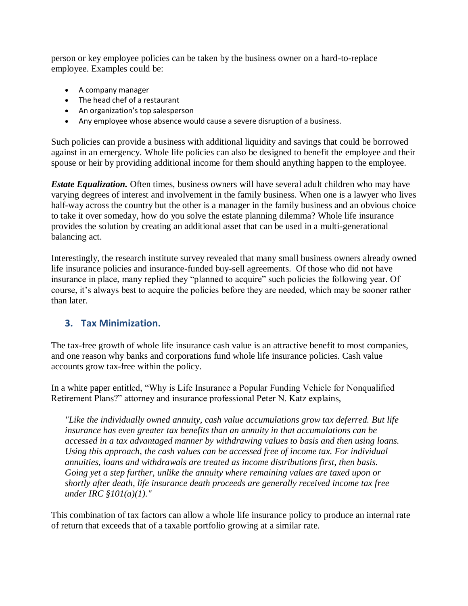person or key employee policies can be taken by the business owner on a hard-to-replace employee. Examples could be:

- A company manager
- The head chef of a restaurant
- An organization's top salesperson
- Any employee whose absence would cause a severe disruption of a business.

Such policies can provide a business with additional liquidity and savings that could be borrowed against in an emergency. Whole life policies can also be designed to benefit the employee and their spouse or heir by providing additional income for them should anything happen to the employee.

*Estate Equalization.* Often times, business owners will have several adult children who may have varying degrees of interest and involvement in the family business. When one is a lawyer who lives half-way across the country but the other is a manager in the family business and an obvious choice to take it over someday, how do you solve the estate planning dilemma? Whole life insurance provides the solution by creating an additional asset that can be used in a multi-generational balancing act.

Interestingly, the research institute survey revealed that many small business owners already owned life insurance policies and insurance-funded buy-sell agreements. Of those who did not have insurance in place, many replied they "planned to acquire" such policies the following year. Of course, it's always best to acquire the policies before they are needed, which may be sooner rather than later.

### **3. Tax Minimization.**

The tax-free growth of whole life insurance cash value is an attractive benefit to most companies, and one reason why banks and corporations fund whole life insurance policies. Cash value accounts grow tax-free within the policy.

In a white paper entitled, "Why is Life Insurance a Popular Funding Vehicle for Nonqualified Retirement Plans?" attorney and insurance professional Peter N. Katz explains,

*"Like the individually owned annuity, cash value accumulations grow tax deferred. But life insurance has even greater tax benefits than an annuity in that accumulations can be accessed in a tax advantaged manner by withdrawing values to basis and then using loans. Using this approach, the cash values can be accessed free of income tax. For individual annuities, loans and withdrawals are treated as income distributions first, then basis. Going yet a step further, unlike the annuity where remaining values are taxed upon or shortly after death, life insurance death proceeds are generally received income tax free under IRC §101(a)(1)."*

This combination of tax factors can allow a whole life insurance policy to produce an internal rate of return that exceeds that of a taxable portfolio growing at a similar rate.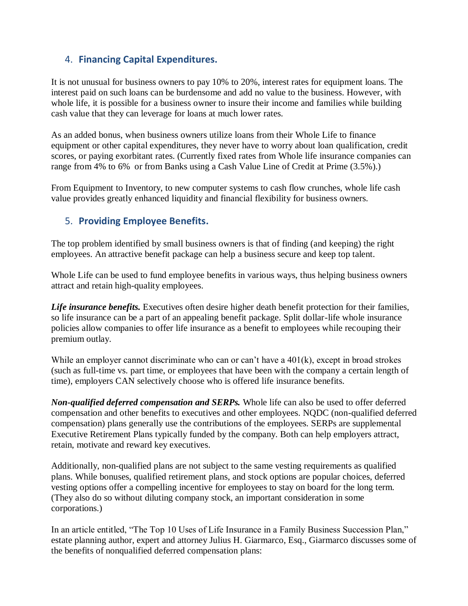## 4. **Financing Capital Expenditures.**

It is not unusual for business owners to pay 10% to 20%, interest rates for equipment loans. The interest paid on such loans can be burdensome and add no value to the business. However, with whole life, it is possible for a business owner to insure their income and families while building cash value that they can leverage for loans at much lower rates.

As an added bonus, when business owners utilize loans from their Whole Life to finance equipment or other capital expenditures, they never have to worry about loan qualification, credit scores, or paying exorbitant rates. (Currently fixed rates from Whole life insurance companies can range from 4% to 6% or from Banks using a Cash Value Line of Credit at Prime (3.5%).)

From Equipment to Inventory, to new computer systems to cash flow crunches, whole life cash value provides greatly enhanced liquidity and financial flexibility for business owners.

## 5. **Providing Employee Benefits.**

The top problem identified by small business owners is that of finding (and keeping) the right employees. An attractive benefit package can help a business secure and keep top talent.

Whole Life can be used to fund employee benefits in various ways, thus helping business owners attract and retain high-quality employees.

*Life insurance benefits.* Executives often desire higher death benefit protection for their families, so life insurance can be a part of an appealing benefit package. Split dollar-life whole insurance policies allow companies to offer life insurance as a benefit to employees while recouping their premium outlay.

While an employer cannot discriminate who can or can't have a  $401(k)$ , except in broad strokes (such as full-time vs. part time, or employees that have been with the company a certain length of time), employers CAN selectively choose who is offered life insurance benefits.

*Non-qualified deferred compensation and SERPs.* Whole life can also be used to offer deferred compensation and other benefits to executives and other employees. NQDC (non-qualified deferred compensation) plans generally use the contributions of the employees. SERPs are supplemental Executive Retirement Plans typically funded by the company. Both can help employers attract, retain, motivate and reward key executives.

Additionally, non-qualified plans are not subject to the same vesting requirements as qualified plans. While bonuses, qualified retirement plans, and stock options are popular choices, deferred vesting options offer a compelling incentive for employees to stay on board for the long term. (They also do so without diluting company stock, an important consideration in some corporations.)

In an article entitled, "The Top 10 Uses of Life Insurance in a Family Business Succession Plan," estate planning author, expert and attorney Julius H. Giarmarco, Esq., Giarmarco discusses some of the benefits of nonqualified deferred compensation plans: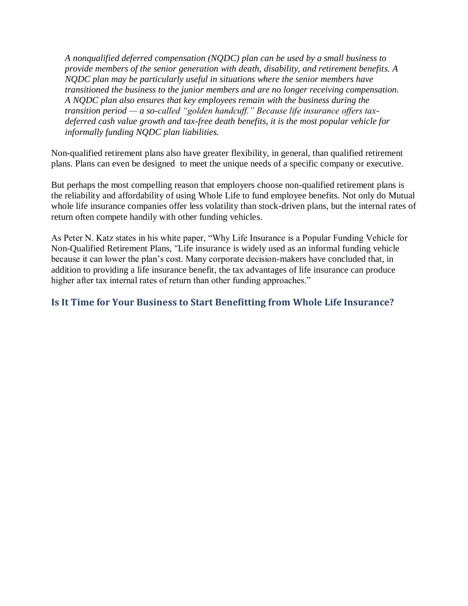*A nonqualified deferred compensation (NQDC) plan can be used by a small business to provide members of the senior generation with death, disability, and retirement benefits. A NQDC plan may be particularly useful in situations where the senior members have transitioned the business to the junior members and are no longer receiving compensation. A NQDC plan also ensures that key employees remain with the business during the transition period — a so-called "golden handcuff." Because life insurance offers taxdeferred cash value growth and tax-free death benefits, it is the most popular vehicle for informally funding NQDC plan liabilities.*

Non-qualified retirement plans also have greater flexibility, in general, than qualified retirement plans. Plans can even be designed to meet the unique needs of a specific company or executive.

But perhaps the most compelling reason that employers choose non-qualified retirement plans is the reliability and affordability of using Whole Life to fund employee benefits. Not only do Mutual whole life insurance companies offer less volatility than stock-driven plans, but the internal rates of return often compete handily with other funding vehicles.

As Peter N. Katz states in his white paper, "Why Life Insurance is a Popular Funding Vehicle for Non-Qualified Retirement Plans, "Life insurance is widely used as an informal funding vehicle because it can lower the plan's cost. Many corporate decision-makers have concluded that, in addition to providing a life insurance benefit, the tax advantages of life insurance can produce higher after tax internal rates of return than other funding approaches."

#### **Is It Time for Your Business to Start Benefitting from Whole Life Insurance?**